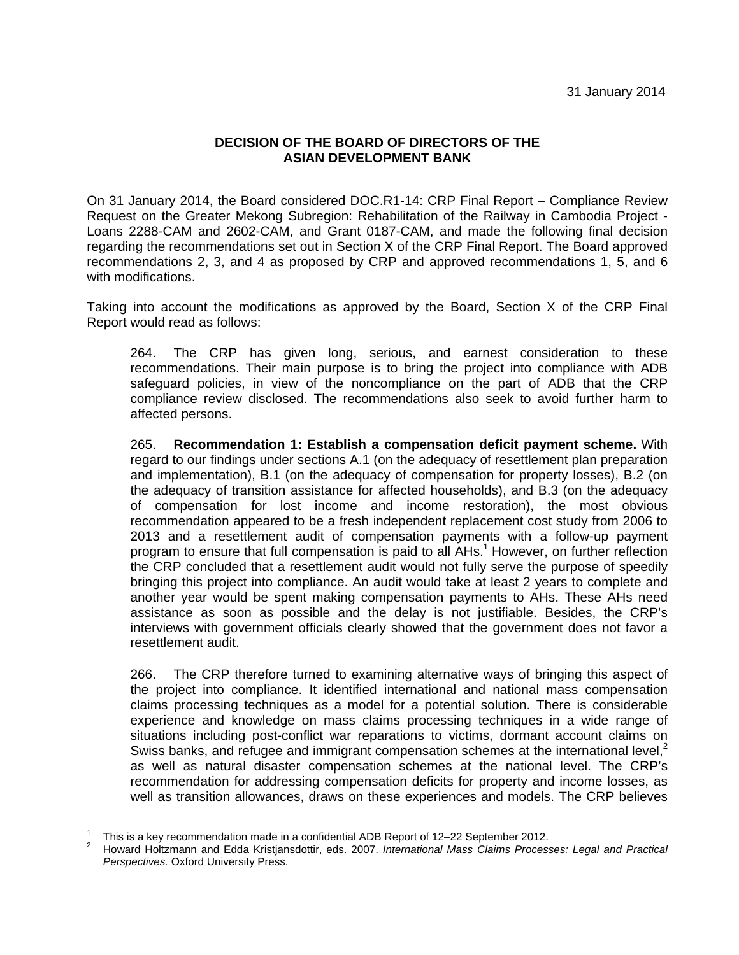## **DECISION OF THE BOARD OF DIRECTORS OF THE ASIAN DEVELOPMENT BANK**

On 31 January 2014, the Board considered DOC.R1-14: CRP Final Report – Compliance Review Request on the Greater Mekong Subregion: Rehabilitation of the Railway in Cambodia Project - Loans 2288-CAM and 2602-CAM, and Grant 0187-CAM, and made the following final decision regarding the recommendations set out in Section X of the CRP Final Report. The Board approved recommendations 2, 3, and 4 as proposed by CRP and approved recommendations 1, 5, and 6 with modifications.

Taking into account the modifications as approved by the Board, Section X of the CRP Final Report would read as follows:

264. The CRP has given long, serious, and earnest consideration to these recommendations. Their main purpose is to bring the project into compliance with ADB safeguard policies, in view of the noncompliance on the part of ADB that the CRP compliance review disclosed. The recommendations also seek to avoid further harm to affected persons.

265. **Recommendation 1: Establish a compensation deficit payment scheme.** With regard to our findings under sections A.1 (on the adequacy of resettlement plan preparation and implementation), B.1 (on the adequacy of compensation for property losses), B.2 (on the adequacy of transition assistance for affected households), and B.3 (on the adequacy of compensation for lost income and income restoration), the most obvious recommendation appeared to be a fresh independent replacement cost study from 2006 to 2013 and a resettlement audit of compensation payments with a follow-up payment program to ensure that full compensation is paid to all  $AHs<sup>1</sup>$  However, on further reflection the CRP concluded that a resettlement audit would not fully serve the purpose of speedily bringing this project into compliance. An audit would take at least 2 years to complete and another year would be spent making compensation payments to AHs. These AHs need assistance as soon as possible and the delay is not justifiable. Besides, the CRP's interviews with government officials clearly showed that the government does not favor a resettlement audit.

266. The CRP therefore turned to examining alternative ways of bringing this aspect of the project into compliance. It identified international and national mass compensation claims processing techniques as a model for a potential solution. There is considerable experience and knowledge on mass claims processing techniques in a wide range of situations including post-conflict war reparations to victims, dormant account claims on Swiss banks, and refugee and immigrant compensation schemes at the international level, $2$ as well as natural disaster compensation schemes at the national level. The CRP's recommendation for addressing compensation deficits for property and income losses, as well as transition allowances, draws on these experiences and models. The CRP believes

<sup>1</sup> This is a key recommendation made in a confidential ADB Report of 12–22 September 2012. 2

Howard Holtzmann and Edda Kristjansdottir, eds. 2007. *International Mass Claims Processes: Legal and Practical Perspectives.* Oxford University Press.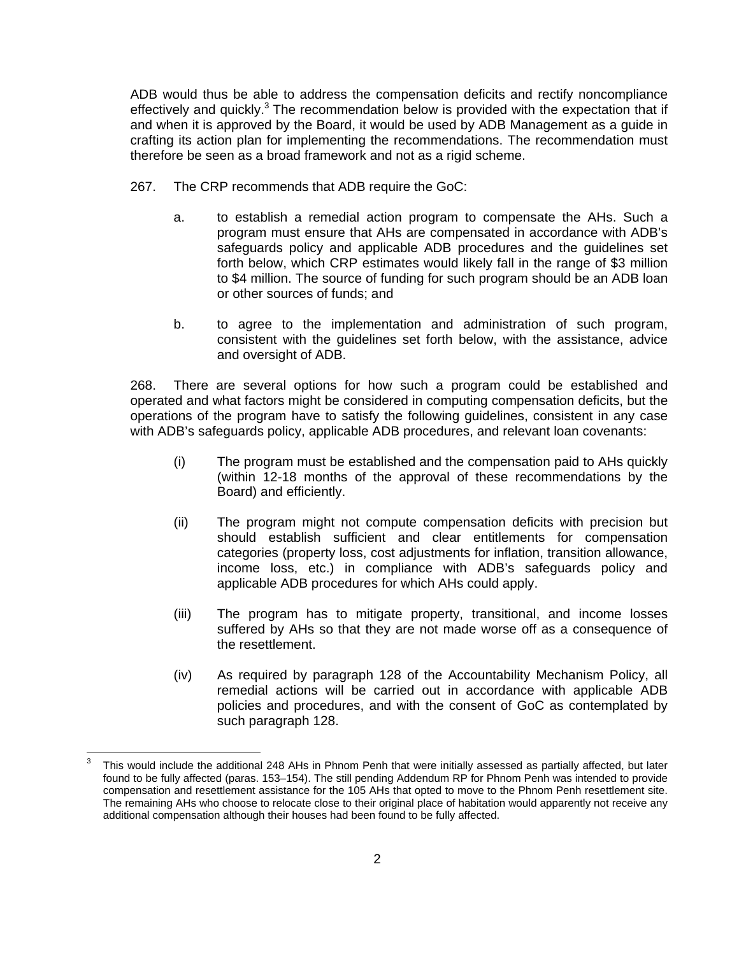ADB would thus be able to address the compensation deficits and rectify noncompliance effectively and quickly.<sup>3</sup> The recommendation below is provided with the expectation that if and when it is approved by the Board, it would be used by ADB Management as a guide in crafting its action plan for implementing the recommendations. The recommendation must therefore be seen as a broad framework and not as a rigid scheme.

- 267. The CRP recommends that ADB require the GoC:
	- a. to establish a remedial action program to compensate the AHs. Such a program must ensure that AHs are compensated in accordance with ADB's safeguards policy and applicable ADB procedures and the guidelines set forth below, which CRP estimates would likely fall in the range of \$3 million to \$4 million. The source of funding for such program should be an ADB loan or other sources of funds; and
	- b. to agree to the implementation and administration of such program, consistent with the guidelines set forth below, with the assistance, advice and oversight of ADB.

268. There are several options for how such a program could be established and operated and what factors might be considered in computing compensation deficits, but the operations of the program have to satisfy the following guidelines, consistent in any case with ADB's safeguards policy, applicable ADB procedures, and relevant loan covenants:

- (i) The program must be established and the compensation paid to AHs quickly (within 12-18 months of the approval of these recommendations by the Board) and efficiently.
- (ii) The program might not compute compensation deficits with precision but should establish sufficient and clear entitlements for compensation categories (property loss, cost adjustments for inflation, transition allowance, income loss, etc.) in compliance with ADB's safeguards policy and applicable ADB procedures for which AHs could apply.
- (iii) The program has to mitigate property, transitional, and income losses suffered by AHs so that they are not made worse off as a consequence of the resettlement.
- (iv) As required by paragraph 128 of the Accountability Mechanism Policy, all remedial actions will be carried out in accordance with applicable ADB policies and procedures, and with the consent of GoC as contemplated by such paragraph 128.

<u> 1989 - Andrea Andrew Maria (h. 1989).</u><br>1980 - Andrew Maria (h. 1980).

<sup>3</sup> This would include the additional 248 AHs in Phnom Penh that were initially assessed as partially affected, but later found to be fully affected (paras. 153–154). The still pending Addendum RP for Phnom Penh was intended to provide compensation and resettlement assistance for the 105 AHs that opted to move to the Phnom Penh resettlement site. The remaining AHs who choose to relocate close to their original place of habitation would apparently not receive any additional compensation although their houses had been found to be fully affected.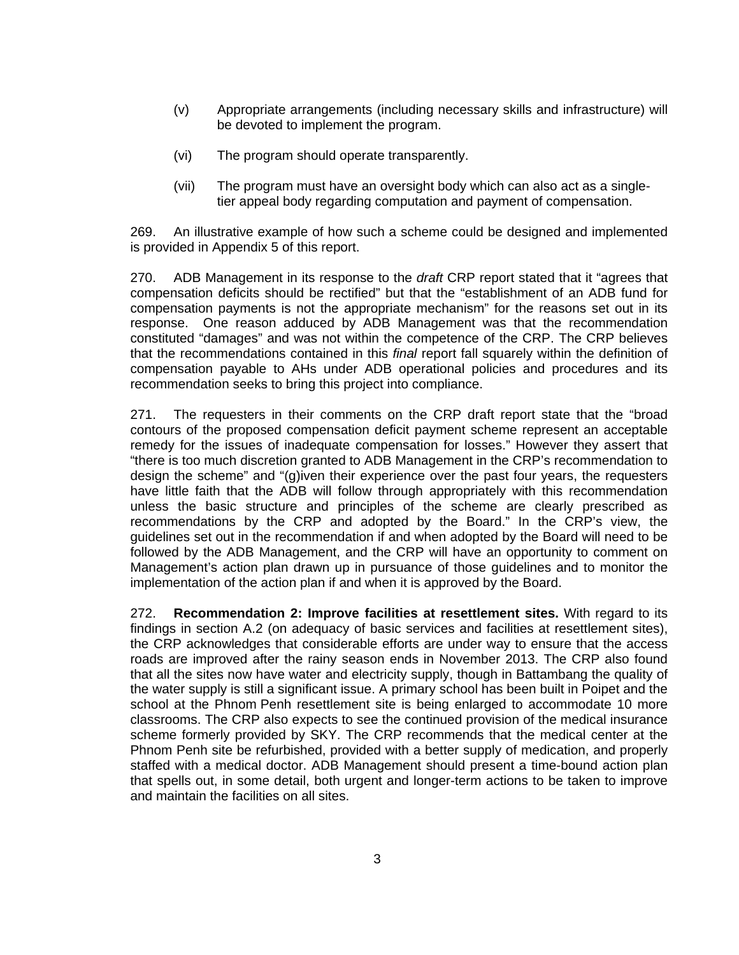- (v) Appropriate arrangements (including necessary skills and infrastructure) will be devoted to implement the program.
- (vi) The program should operate transparently.
- (vii) The program must have an oversight body which can also act as a singletier appeal body regarding computation and payment of compensation.

269. An illustrative example of how such a scheme could be designed and implemented is provided in Appendix 5 of this report.

270. ADB Management in its response to the *draft* CRP report stated that it "agrees that compensation deficits should be rectified" but that the "establishment of an ADB fund for compensation payments is not the appropriate mechanism" for the reasons set out in its response. One reason adduced by ADB Management was that the recommendation constituted "damages" and was not within the competence of the CRP. The CRP believes that the recommendations contained in this *final* report fall squarely within the definition of compensation payable to AHs under ADB operational policies and procedures and its recommendation seeks to bring this project into compliance.

271. The requesters in their comments on the CRP draft report state that the "broad contours of the proposed compensation deficit payment scheme represent an acceptable remedy for the issues of inadequate compensation for losses." However they assert that "there is too much discretion granted to ADB Management in the CRP's recommendation to design the scheme" and "(g)iven their experience over the past four years, the requesters have little faith that the ADB will follow through appropriately with this recommendation unless the basic structure and principles of the scheme are clearly prescribed as recommendations by the CRP and adopted by the Board." In the CRP's view, the guidelines set out in the recommendation if and when adopted by the Board will need to be followed by the ADB Management, and the CRP will have an opportunity to comment on Management's action plan drawn up in pursuance of those guidelines and to monitor the implementation of the action plan if and when it is approved by the Board.

272. **Recommendation 2: Improve facilities at resettlement sites.** With regard to its findings in section A.2 (on adequacy of basic services and facilities at resettlement sites), the CRP acknowledges that considerable efforts are under way to ensure that the access roads are improved after the rainy season ends in November 2013. The CRP also found that all the sites now have water and electricity supply, though in Battambang the quality of the water supply is still a significant issue. A primary school has been built in Poipet and the school at the Phnom Penh resettlement site is being enlarged to accommodate 10 more classrooms. The CRP also expects to see the continued provision of the medical insurance scheme formerly provided by SKY. The CRP recommends that the medical center at the Phnom Penh site be refurbished, provided with a better supply of medication, and properly staffed with a medical doctor. ADB Management should present a time-bound action plan that spells out, in some detail, both urgent and longer-term actions to be taken to improve and maintain the facilities on all sites.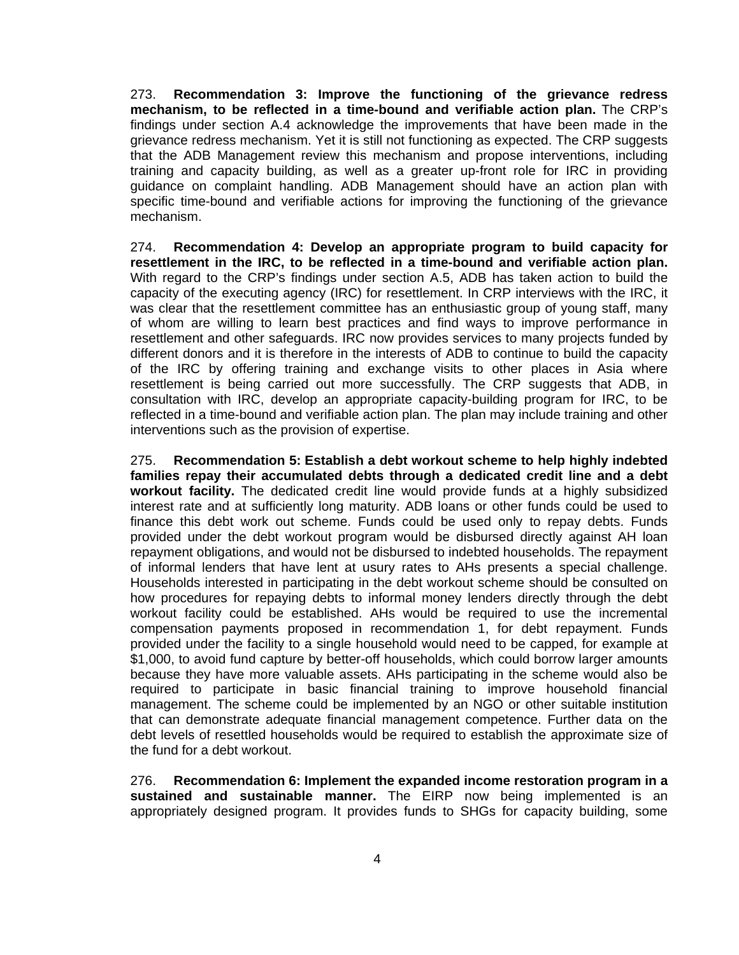273. **Recommendation 3: Improve the functioning of the grievance redress mechanism, to be reflected in a time-bound and verifiable action plan.** The CRP's findings under section A.4 acknowledge the improvements that have been made in the grievance redress mechanism. Yet it is still not functioning as expected. The CRP suggests that the ADB Management review this mechanism and propose interventions, including training and capacity building, as well as a greater up-front role for IRC in providing guidance on complaint handling. ADB Management should have an action plan with specific time-bound and verifiable actions for improving the functioning of the grievance mechanism.

274. **Recommendation 4: Develop an appropriate program to build capacity for resettlement in the IRC, to be reflected in a time-bound and verifiable action plan.** With regard to the CRP's findings under section A.5, ADB has taken action to build the capacity of the executing agency (IRC) for resettlement. In CRP interviews with the IRC, it was clear that the resettlement committee has an enthusiastic group of young staff, many of whom are willing to learn best practices and find ways to improve performance in resettlement and other safeguards. IRC now provides services to many projects funded by different donors and it is therefore in the interests of ADB to continue to build the capacity of the IRC by offering training and exchange visits to other places in Asia where resettlement is being carried out more successfully. The CRP suggests that ADB, in consultation with IRC, develop an appropriate capacity-building program for IRC, to be reflected in a time-bound and verifiable action plan. The plan may include training and other interventions such as the provision of expertise.

275. **Recommendation 5: Establish a debt workout scheme to help highly indebted families repay their accumulated debts through a dedicated credit line and a debt workout facility.** The dedicated credit line would provide funds at a highly subsidized interest rate and at sufficiently long maturity. ADB loans or other funds could be used to finance this debt work out scheme. Funds could be used only to repay debts. Funds provided under the debt workout program would be disbursed directly against AH loan repayment obligations, and would not be disbursed to indebted households. The repayment of informal lenders that have lent at usury rates to AHs presents a special challenge. Households interested in participating in the debt workout scheme should be consulted on how procedures for repaying debts to informal money lenders directly through the debt workout facility could be established. AHs would be required to use the incremental compensation payments proposed in recommendation 1, for debt repayment. Funds provided under the facility to a single household would need to be capped, for example at \$1,000, to avoid fund capture by better-off households, which could borrow larger amounts because they have more valuable assets. AHs participating in the scheme would also be required to participate in basic financial training to improve household financial management. The scheme could be implemented by an NGO or other suitable institution that can demonstrate adequate financial management competence. Further data on the debt levels of resettled households would be required to establish the approximate size of the fund for a debt workout.

276. **Recommendation 6: Implement the expanded income restoration program in a sustained and sustainable manner.** The EIRP now being implemented is an appropriately designed program. It provides funds to SHGs for capacity building, some